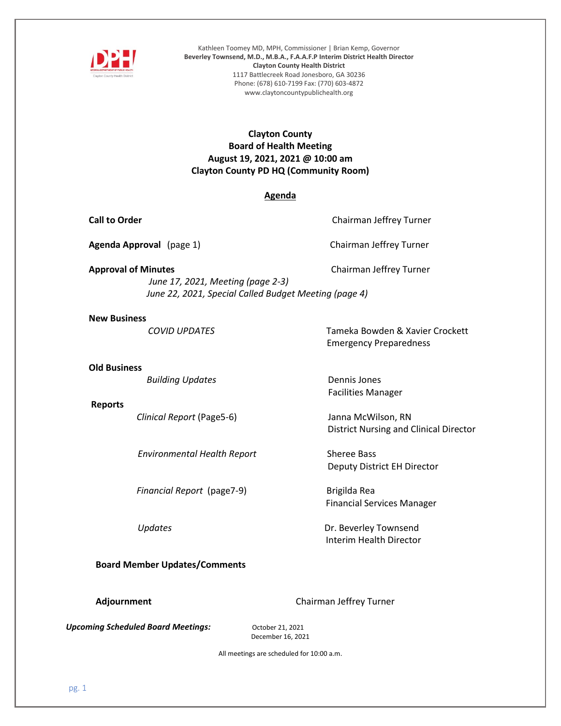

Kathleen Toomey MD, MPH, Commissioner | Brian Kemp, Governor **Beverley Townsend, M.D., M.B.A., F.A.A.F.P Interim District Health Director Clayton County Health District** 1117 Battlecreek Road Jonesboro, GA 30236 Phone: (678) 610-7199 Fax: (770) 603-4872 www.claytoncountypublichealth.org

## **Clayton County Board of Health Meeting August 19, 2021, 2021 @ 10:00 am Clayton County PD HQ (Community Room)**

### **Agenda**

**Call to Order** Chairman Jeffrey Turner

**Agenda Approval** (page 1) Chairman Jeffrey Turner

**Approval of Minutes Chairman Jeffrey Turner** 

Emergency Preparedness

District Nursing and Clinical Director

Deputy District EH Director

Financial Services Manager

Interim Health Director

Facilities Manager

 *June 17, 2021, Meeting (page 2-3) June 22, 2021, Special Called Budget Meeting (page 4)*

### **New Business**

*COVID UPDATES* Tameka Bowden & Xavier Crockett

 **Old Business**

**Building Updates Dennis Jones** 

### **Reports**

*Clinical Report* (Page5-6) Janna McWilson, RN

 *Environmental Health Report* Sheree Bass

*Financial Report* (page7-9) Brigilda Rea

*Updates* **Dr. Beverley Townsend** 

**Board Member Updates/Comments** 

**Adjournment Adjournment Chairman Jeffrey Turner** 

*Upcoming Scheduled Board Meetings: October 21, 2021* 

December 16, 2021

All meetings are scheduled for 10:00 a.m.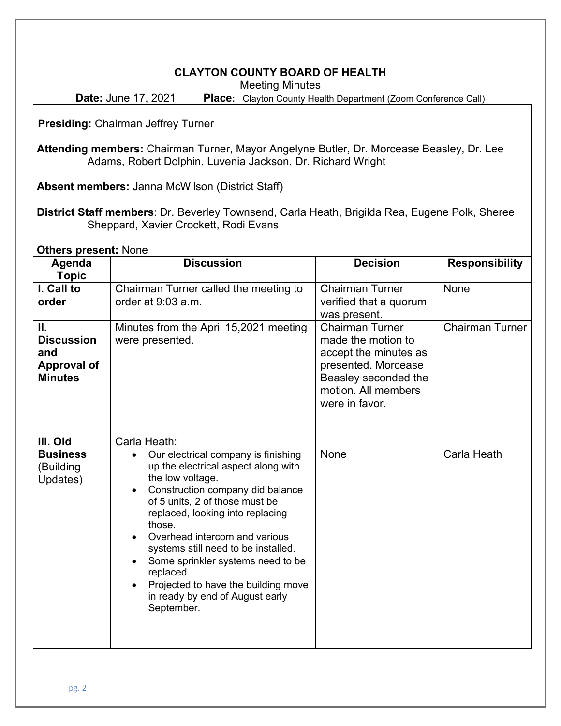# **CLAYTON COUNTY BOARD OF HEALTH**

Meeting Minutes

**Date:** June 17, 2021 **Place:** Clayton County Health Department (Zoom Conference Call)

**Presiding:** Chairman Jeffrey Turner

**Attending members:** Chairman Turner, Mayor Angelyne Butler, Dr. Morcease Beasley, Dr. Lee Adams, Robert Dolphin, Luvenia Jackson, Dr. Richard Wright

**Absent members:** Janna McWilson (District Staff)

**District Staff members**: Dr. Beverley Townsend, Carla Heath, Brigilda Rea, Eugene Polk, Sheree Sheppard, Xavier Crockett, Rodi Evans

**Others present:** None

| Agenda<br><b>Topic</b>                                                 | <b>Discussion</b>                                                                                                                                                                                                                                                                                                                                                                                                                                    | <b>Decision</b>                                                                                                                                               | <b>Responsibility</b>  |  |
|------------------------------------------------------------------------|------------------------------------------------------------------------------------------------------------------------------------------------------------------------------------------------------------------------------------------------------------------------------------------------------------------------------------------------------------------------------------------------------------------------------------------------------|---------------------------------------------------------------------------------------------------------------------------------------------------------------|------------------------|--|
| I. Call to<br>order                                                    | Chairman Turner called the meeting to<br>order at 9:03 a.m.                                                                                                                                                                                                                                                                                                                                                                                          | <b>Chairman Turner</b><br>verified that a quorum<br>was present.                                                                                              | None                   |  |
| Ш.<br><b>Discussion</b><br>and<br><b>Approval of</b><br><b>Minutes</b> | Minutes from the April 15,2021 meeting<br>were presented.                                                                                                                                                                                                                                                                                                                                                                                            | <b>Chairman Turner</b><br>made the motion to<br>accept the minutes as<br>presented. Morcease<br>Beasley seconded the<br>motion. All members<br>were in favor. | <b>Chairman Turner</b> |  |
| III. Old<br><b>Business</b><br>(Building<br>Updates)                   | Carla Heath:<br>Our electrical company is finishing<br>up the electrical aspect along with<br>the low voltage.<br>Construction company did balance<br>of 5 units, 2 of those must be<br>replaced, looking into replacing<br>those.<br>Overhead intercom and various<br>systems still need to be installed.<br>Some sprinkler systems need to be<br>replaced.<br>Projected to have the building move<br>in ready by end of August early<br>September. | <b>None</b>                                                                                                                                                   | Carla Heath            |  |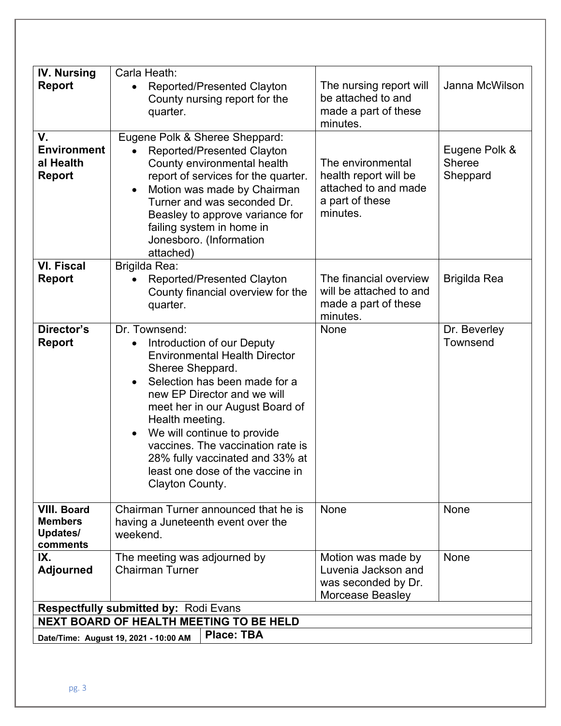| <b>IV. Nursing</b><br><b>Report</b>                                                            | Carla Heath:<br>Reported/Presented Clayton<br>$\bullet$<br>County nursing report for the<br>quarter.                                                                                                                                                                                                                                                                                                                  | The nursing report will<br>be attached to and<br>made a part of these<br>minutes.                 | Janna McWilson                             |  |
|------------------------------------------------------------------------------------------------|-----------------------------------------------------------------------------------------------------------------------------------------------------------------------------------------------------------------------------------------------------------------------------------------------------------------------------------------------------------------------------------------------------------------------|---------------------------------------------------------------------------------------------------|--------------------------------------------|--|
| V.<br><b>Environment</b><br>al Health<br><b>Report</b>                                         | Eugene Polk & Sheree Sheppard:<br>Reported/Presented Clayton<br>County environmental health<br>report of services for the quarter.<br>Motion was made by Chairman<br>$\bullet$<br>Turner and was seconded Dr.<br>Beasley to approve variance for<br>failing system in home in<br>Jonesboro. (Information<br>attached)                                                                                                 | The environmental<br>health report will be<br>attached to and made<br>a part of these<br>minutes. | Eugene Polk &<br><b>Sheree</b><br>Sheppard |  |
| <b>VI. Fiscal</b><br><b>Report</b>                                                             | Brigilda Rea:<br>Reported/Presented Clayton<br>County financial overview for the<br>quarter.                                                                                                                                                                                                                                                                                                                          | The financial overview<br>will be attached to and<br>made a part of these<br>minutes.             | <b>Brigilda Rea</b>                        |  |
| Director's<br><b>Report</b>                                                                    | Dr. Townsend:<br>Introduction of our Deputy<br>$\bullet$<br><b>Environmental Health Director</b><br>Sheree Sheppard.<br>Selection has been made for a<br>$\bullet$<br>new EP Director and we will<br>meet her in our August Board of<br>Health meeting.<br>We will continue to provide<br>vaccines. The vaccination rate is<br>28% fully vaccinated and 33% at<br>least one dose of the vaccine in<br>Clayton County. | <b>None</b>                                                                                       | Dr. Beverley<br><b>Townsend</b>            |  |
| <b>VIII. Board</b><br><b>Members</b><br>Updates/<br>comments                                   | Chairman Turner announced that he is<br>having a Juneteenth event over the<br>weekend.                                                                                                                                                                                                                                                                                                                                | None                                                                                              | None                                       |  |
| IX.<br><b>Adjourned</b>                                                                        | The meeting was adjourned by<br><b>Chairman Turner</b>                                                                                                                                                                                                                                                                                                                                                                | Motion was made by<br>Luvenia Jackson and<br>was seconded by Dr.<br>Morcease Beasley              | None                                       |  |
| <b>Respectfully submitted by: Rodi Evans</b><br><b>NEXT BOARD OF HEALTH MEETING TO BE HELD</b> |                                                                                                                                                                                                                                                                                                                                                                                                                       |                                                                                                   |                                            |  |
|                                                                                                | <b>Place: TBA</b>                                                                                                                                                                                                                                                                                                                                                                                                     |                                                                                                   |                                            |  |
|                                                                                                | Date/Time: August 19, 2021 - 10:00 AM                                                                                                                                                                                                                                                                                                                                                                                 |                                                                                                   |                                            |  |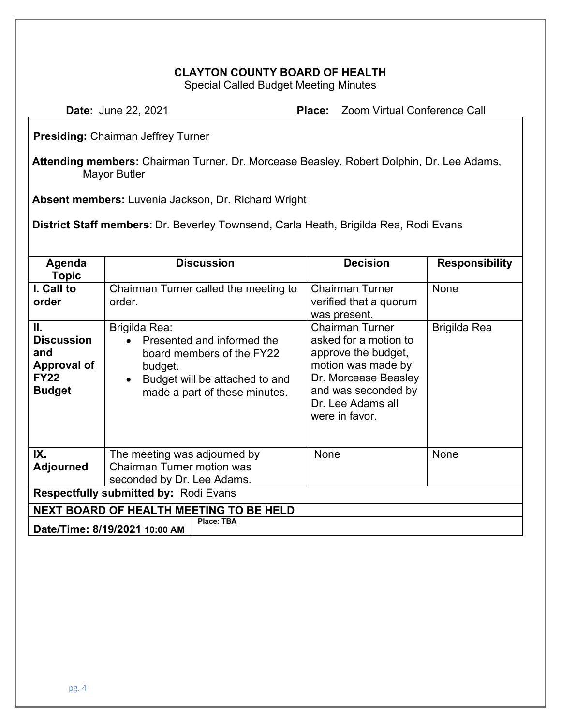# **CLAYTON COUNTY BOARD OF HEALTH**

Special Called Budget Meeting Minutes

| <b>Date: June 22, 2021</b> | <b>Place:</b> Zoom Virtual Conference Call |
|----------------------------|--------------------------------------------|
|                            |                                            |

**Presiding:** Chairman Jeffrey Turner

**Attending members:** Chairman Turner, Dr. Morcease Beasley, Robert Dolphin, Dr. Lee Adams, Mayor Butler

**Absent members:** Luvenia Jackson, Dr. Richard Wright

**District Staff members**: Dr. Beverley Townsend, Carla Heath, Brigilda Rea, Rodi Evans

| Agenda<br><b>Topic</b>                                                               | <b>Discussion</b>                                                                                                                                      | <b>Decision</b>                                                                                                                                                                    | <b>Responsibility</b> |  |  |  |
|--------------------------------------------------------------------------------------|--------------------------------------------------------------------------------------------------------------------------------------------------------|------------------------------------------------------------------------------------------------------------------------------------------------------------------------------------|-----------------------|--|--|--|
| I. Call to<br>order                                                                  | Chairman Turner called the meeting to<br>order.                                                                                                        | <b>Chairman Turner</b><br>verified that a quorum<br>was present.                                                                                                                   | None                  |  |  |  |
| Ш.<br><b>Discussion</b><br>and<br><b>Approval of</b><br><b>FY22</b><br><b>Budget</b> | Brigilda Rea:<br>Presented and informed the<br>board members of the FY22<br>budget.<br>Budget will be attached to and<br>made a part of these minutes. | <b>Chairman Turner</b><br>asked for a motion to<br>approve the budget,<br>motion was made by<br>Dr. Morcease Beasley<br>and was seconded by<br>Dr. Lee Adams all<br>were in favor. | Brigilda Rea          |  |  |  |
| IX.<br><b>Adjourned</b>                                                              | The meeting was adjourned by<br><b>Chairman Turner motion was</b><br>seconded by Dr. Lee Adams.                                                        | <b>None</b>                                                                                                                                                                        | None                  |  |  |  |
| <b>Respectfully submitted by: Rodi Evans</b>                                         |                                                                                                                                                        |                                                                                                                                                                                    |                       |  |  |  |
| <b>NEXT BOARD OF HEALTH MEETING TO BE HELD</b>                                       |                                                                                                                                                        |                                                                                                                                                                                    |                       |  |  |  |
| Place: TBA<br>Date/Time: 8/19/2021 10:00 AM                                          |                                                                                                                                                        |                                                                                                                                                                                    |                       |  |  |  |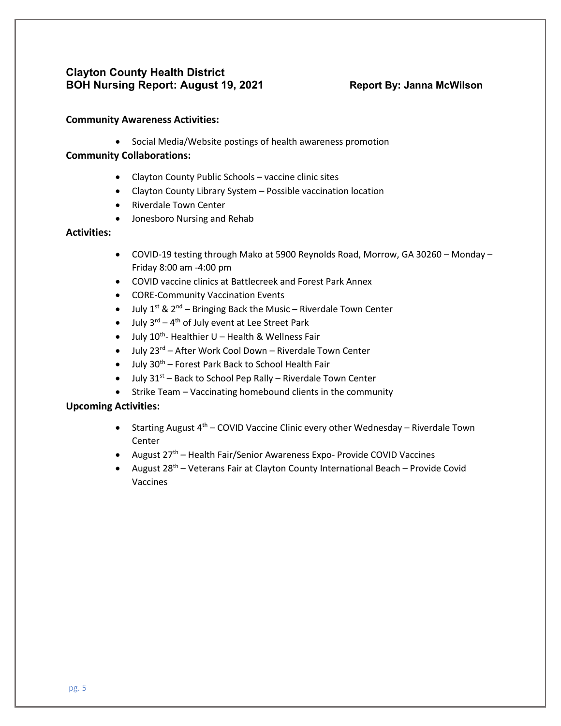# **Clayton County Health District BOH Nursing Report: August 19, 2021 Report By: Janna McWilson**

### **Community Awareness Activities:**

• Social Media/Website postings of health awareness promotion

## **Community Collaborations:**

- Clayton County Public Schools vaccine clinic sites
- Clayton County Library System Possible vaccination location
- Riverdale Town Center
- Jonesboro Nursing and Rehab

## **Activities:**

- COVID-19 testing through Mako at 5900 Reynolds Road, Morrow, GA 30260 Monday Friday 8:00 am -4:00 pm
- COVID vaccine clinics at Battlecreek and Forest Park Annex
- CORE-Community Vaccination Events
- July  $1^{st}$  &  $2^{nd}$  Bringing Back the Music Riverdale Town Center
- $\bullet$  July 3<sup>rd</sup> 4<sup>th</sup> of July event at Lee Street Park
- July 10<sup>th</sup>- Healthier U Health & Wellness Fair
- July 23<sup>rd</sup> After Work Cool Down Riverdale Town Center
- $\bullet$  July 30<sup>th</sup> Forest Park Back to School Health Fair
- $\bullet$  July 31st Back to School Pep Rally Riverdale Town Center
- Strike Team Vaccinating homebound clients in the community

## **Upcoming Activities:**

- Starting August  $4^{th}$  COVID Vaccine Clinic every other Wednesday Riverdale Town Center
- August  $27<sup>th</sup>$  Health Fair/Senior Awareness Expo- Provide COVID Vaccines
- August  $28^{th}$  Veterans Fair at Clayton County International Beach Provide Covid Vaccines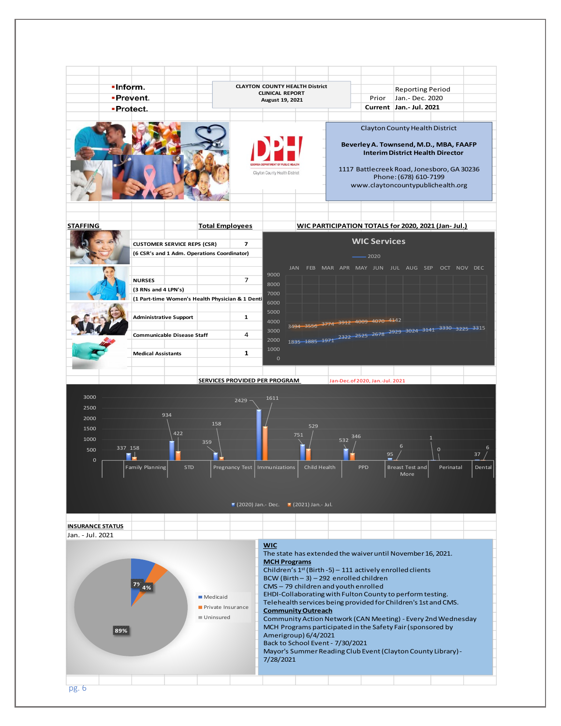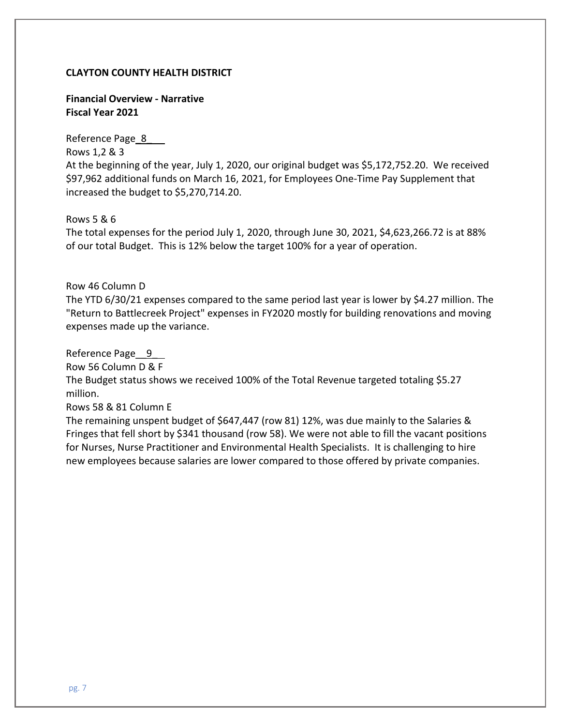### **CLAYTON COUNTY HEALTH DISTRICT**

**Financial Overview - Narrative Fiscal Year 2021**

Reference Page 8 Rows 1,2 & 3 At the beginning of the year, July 1, 2020, our original budget was \$5,172,752.20. We received \$97,962 additional funds on March 16, 2021, for Employees One-Time Pay Supplement that increased the budget to \$5,270,714.20.

Rows 5 & 6

The total expenses for the period July 1, 2020, through June 30, 2021, \$4,623,266.72 is at 88% of our total Budget. This is 12% below the target 100% for a year of operation.

Row 46 Column D

The YTD 6/30/21 expenses compared to the same period last year is lower by \$4.27 million. The "Return to Battlecreek Project" expenses in FY2020 mostly for building renovations and moving expenses made up the variance.

Reference Page 9

Row 56 Column D & F

The Budget status shows we received 100% of the Total Revenue targeted totaling \$5.27 million.

Rows 58 & 81 Column E

The remaining unspent budget of \$647,447 (row 81) 12%, was due mainly to the Salaries & Fringes that fell short by \$341 thousand (row 58). We were not able to fill the vacant positions for Nurses, Nurse Practitioner and Environmental Health Specialists. It is challenging to hire new employees because salaries are lower compared to those offered by private companies.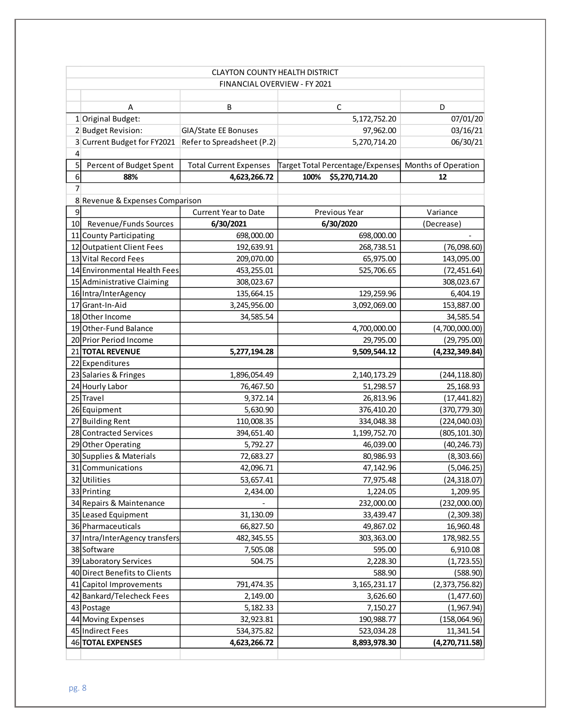|                 | <b>CLAYTON COUNTY HEALTH DISTRICT</b> |                               |                                  |                     |  |  |  |
|-----------------|---------------------------------------|-------------------------------|----------------------------------|---------------------|--|--|--|
|                 | FINANCIAL OVERVIEW - FY 2021          |                               |                                  |                     |  |  |  |
|                 |                                       |                               |                                  |                     |  |  |  |
|                 | A                                     | B                             | $\mathsf C$                      | D                   |  |  |  |
|                 | 1 Original Budget:                    |                               | 5,172,752.20                     | 07/01/20            |  |  |  |
|                 | 2 Budget Revision:                    | GIA/State EE Bonuses          | 97,962.00                        | 03/16/21            |  |  |  |
|                 | 3 Current Budget for FY2021           | Refer to Spreadsheet (P.2)    | 5,270,714.20                     | 06/30/21            |  |  |  |
| $\vert 4 \vert$ |                                       |                               |                                  |                     |  |  |  |
| $\overline{5}$  | Percent of Budget Spent               | <b>Total Current Expenses</b> | Target Total Percentage/Expenses | Months of Operation |  |  |  |
| $6 \mid$        | 88%                                   | 4,623,266.72                  | \$5,270,714.20<br>100%           | 12                  |  |  |  |
| $\overline{7}$  |                                       |                               |                                  |                     |  |  |  |
|                 | 8 Revenue & Expenses Comparison       |                               |                                  |                     |  |  |  |
| $\overline{9}$  |                                       | <b>Current Year to Date</b>   | Previous Year                    | Variance            |  |  |  |
| 10              | Revenue/Funds Sources                 | 6/30/2021                     | 6/30/2020                        | (Decrease)          |  |  |  |
|                 | 11 County Participating               | 698,000.00                    | 698,000.00                       |                     |  |  |  |
|                 | 12 Outpatient Client Fees             | 192,639.91                    | 268,738.51                       | (76,098.60)         |  |  |  |
|                 | 13 Vital Record Fees                  | 209,070.00                    | 65,975.00                        | 143,095.00          |  |  |  |
|                 | 14 Environmental Health Fees          | 453,255.01                    | 525,706.65                       | (72, 451.64)        |  |  |  |
|                 | 15 Administrative Claiming            | 308,023.67                    |                                  | 308,023.67          |  |  |  |
|                 | 16 Intra/InterAgency                  | 135,664.15                    | 129,259.96                       | 6,404.19            |  |  |  |
|                 | 17 Grant-In-Aid                       | 3,245,956.00                  | 3,092,069.00                     | 153,887.00          |  |  |  |
|                 | 18 Other Income                       | 34,585.54                     |                                  | 34,585.54           |  |  |  |
|                 | 19 Other-Fund Balance                 |                               | 4,700,000.00                     | (4,700,000.00)      |  |  |  |
|                 | 20 Prior Period Income                |                               | 29,795.00                        | (29, 795.00)        |  |  |  |
|                 | 21 TOTAL REVENUE                      | 5,277,194.28                  | 9,509,544.12                     | (4, 232, 349.84)    |  |  |  |
|                 | 22 Expenditures                       |                               |                                  |                     |  |  |  |
|                 | 23 Salaries & Fringes                 | 1,896,054.49                  | 2,140,173.29                     | (244, 118.80)       |  |  |  |
|                 | 24 Hourly Labor                       | 76,467.50                     | 51,298.57                        | 25,168.93           |  |  |  |
|                 | 25 Travel                             | 9,372.14                      | 26,813.96                        | (17, 441.82)        |  |  |  |
|                 | 26 Equipment                          | 5,630.90                      | 376,410.20                       | (370, 779.30)       |  |  |  |
|                 | 27 Building Rent                      | 110,008.35                    | 334,048.38                       | (224,040.03)        |  |  |  |
|                 | 28 Contracted Services                | 394,651.40                    | 1,199,752.70                     | (805, 101.30)       |  |  |  |
|                 | 29 Other Operating                    | 5,792.27                      | 46,039.00                        | (40, 246.73)        |  |  |  |
|                 | 30 Supplies & Materials               | 72,683.27                     | 80,986.93                        | (8,303.66)          |  |  |  |
|                 | 31 Communications                     | 42,096.71                     | 47,142.96                        | (5,046.25)          |  |  |  |
|                 | 32 Utilities                          | 53,657.41                     | 77,975.48                        | (24, 318.07)        |  |  |  |
|                 | 33 Printing                           | 2,434.00                      | 1,224.05                         | 1,209.95            |  |  |  |
|                 | 34 Repairs & Maintenance              |                               | 232,000.00                       | (232,000.00)        |  |  |  |
|                 | 35 Leased Equipment                   | 31,130.09                     | 33,439.47                        | (2,309.38)          |  |  |  |
|                 | 36 Pharmaceuticals                    | 66,827.50                     | 49,867.02                        | 16,960.48           |  |  |  |
|                 | 37 Intra/InterAgency transfers        | 482,345.55                    | 303,363.00                       | 178,982.55          |  |  |  |
|                 | 38 Software                           | 7,505.08                      | 595.00                           | 6,910.08            |  |  |  |
|                 | 39 Laboratory Services                | 504.75                        | 2,228.30                         | (1,723.55)          |  |  |  |
|                 | 40 Direct Benefits to Clients         |                               | 588.90                           | (588.90)            |  |  |  |
|                 | 41 Capitol Improvements               | 791,474.35                    | 3, 165, 231. 17                  | (2,373,756.82)      |  |  |  |
|                 | 42 Bankard/Telecheck Fees             | 2,149.00                      | 3,626.60                         | (1,477.60)          |  |  |  |
|                 | 43 Postage                            | 5,182.33                      | 7,150.27                         | (1,967.94)          |  |  |  |
|                 | 44 Moving Expenses                    | 32,923.81                     | 190,988.77                       | (158,064.96)        |  |  |  |
|                 | 45 Indirect Fees                      | 534,375.82                    | 523,034.28                       | 11,341.54           |  |  |  |
|                 | 46 TOTAL EXPENSES                     | 4,623,266.72                  | 8,893,978.30                     | (4, 270, 711.58)    |  |  |  |
|                 |                                       |                               |                                  |                     |  |  |  |